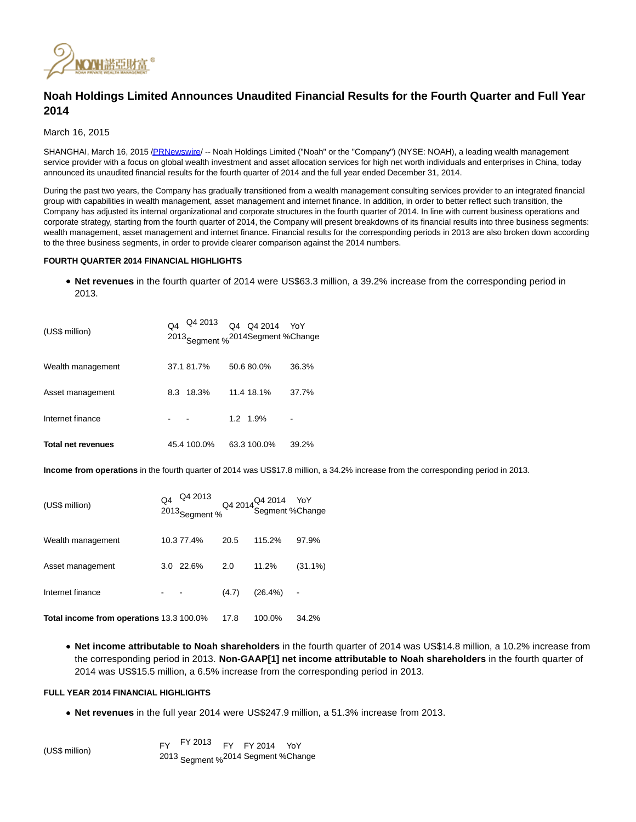

# **Noah Holdings Limited Announces Unaudited Financial Results for the Fourth Quarter and Full Year 2014**

March 16, 2015

SHANGHAI, March 16, 2015 [/PRNewswire/](http://www.prnewswire.com/) -- Noah Holdings Limited ("Noah" or the "Company") (NYSE: NOAH), a leading wealth management service provider with a focus on global wealth investment and asset allocation services for high net worth individuals and enterprises in China, today announced its unaudited financial results for the fourth quarter of 2014 and the full year ended December 31, 2014.

During the past two years, the Company has gradually transitioned from a wealth management consulting services provider to an integrated financial group with capabilities in wealth management, asset management and internet finance. In addition, in order to better reflect such transition, the Company has adjusted its internal organizational and corporate structures in the fourth quarter of 2014. In line with current business operations and corporate strategy, starting from the fourth quarter of 2014, the Company will present breakdowns of its financial results into three business segments: wealth management, asset management and internet finance. Financial results for the corresponding periods in 2013 are also broken down according to the three business segments, in order to provide clearer comparison against the 2014 numbers.

### **FOURTH QUARTER 2014 FINANCIAL HIGHLIGHTS**

**Net revenues** in the fourth quarter of 2014 were US\$63.3 million, a 39.2% increase from the corresponding period in 2013.

| (US\$ million)            | Q4 2013<br>Q4 | Q4 Q4 2014 YoY<br>2013 Segment % 2014 Segment % Change |       |
|---------------------------|---------------|--------------------------------------------------------|-------|
| Wealth management         | 37.181.7%     | 50.6 80.0%                                             | 36.3% |
| Asset management          | 8.3 18.3%     | 11.4 18.1%                                             | 37.7% |
| Internet finance          |               | $1.2 \quad 1.9\%$                                      |       |
| <b>Total net revenues</b> | 45.4 100.0%   | 63.3 100.0%                                            | 39.2% |

**Income from operations** in the fourth quarter of 2014 was US\$17.8 million, a 34.2% increase from the corresponding period in 2013.

| (US\$ million)                           | Q4 | Q4 2013<br>2013 <sub>Segment</sub> % |       | Q4 2014 2014 YoY<br>G4 2014 Segment % Change |                |
|------------------------------------------|----|--------------------------------------|-------|----------------------------------------------|----------------|
| Wealth management                        |    | 10.3 77.4%                           | 20.5  | 115.2%                                       | 97.9%          |
| Asset management                         |    | 3.0 22.6%                            | 2.0   | 11.2%                                        | $(31.1\%)$     |
| Internet finance                         |    |                                      | (4.7) | $(26.4\%)$                                   | $\overline{a}$ |
| Total income from operations 13.3 100.0% |    |                                      | 17.8  | 100.0%                                       | 34.2%          |

**Net income attributable to Noah shareholders** in the fourth quarter of 2014 was US\$14.8 million, a 10.2% increase from the corresponding period in 2013. **Non-GAAP[1] net income attributable to Noah shareholders** in the fourth quarter of 2014 was US\$15.5 million, a 6.5% increase from the corresponding period in 2013.

## **FULL YEAR 2014 FINANCIAL HIGHLIGHTS**

**Net revenues** in the full year 2014 were US\$247.9 million, a 51.3% increase from 2013.

| (US\$ million) | FY <sup>FY 2013</sup> FY FY 2014 YoY |  |  |
|----------------|--------------------------------------|--|--|
|                | 2013 Segment %2014 Segment %Change   |  |  |

 $F(x) = 100$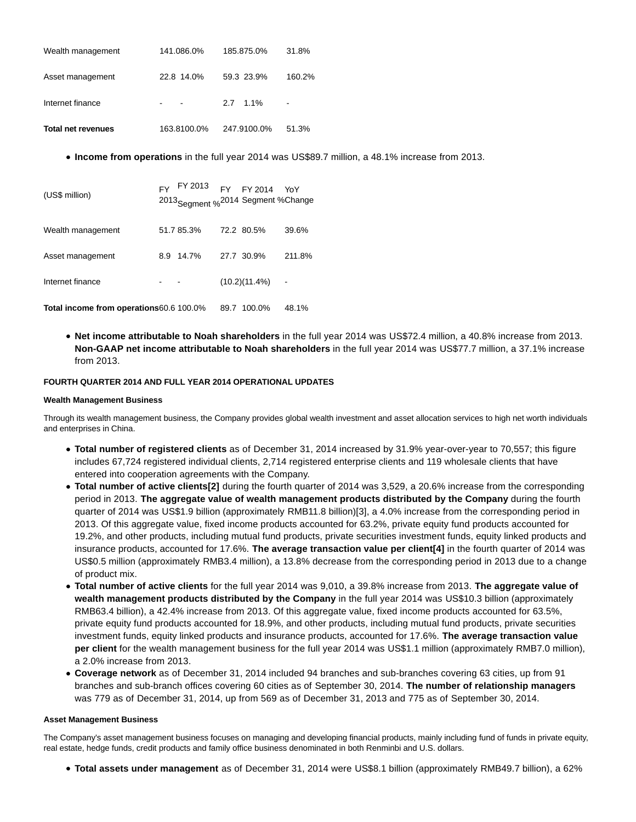| Wealth management         | 141.086.0%  | 185.875.0%  | 31.8%  |
|---------------------------|-------------|-------------|--------|
| Asset management          | 22.8 14.0%  | 59.3 23.9%  | 160.2% |
| Internet finance          |             | $2.7$ 1.1%  | ٠      |
| <b>Total net revenues</b> | 163.8100.0% | 247.9100.0% | 51.3%  |

**Income from operations** in the full year 2014 was US\$89.7 million, a 48.1% increase from 2013.

| (US\$ million)                           |     |           |      | FY 2013 FY FY 2014 YoY<br>2013 Segment % 2014 Segment % Change |        |
|------------------------------------------|-----|-----------|------|----------------------------------------------------------------|--------|
| Wealth management                        |     | 51.785.3% |      | 72.2 80.5%                                                     | 39.6%  |
| Asset management                         | 8.9 | 14.7%     |      | 27.7 30.9%                                                     | 211.8% |
| Internet finance                         |     |           |      | $(10.2)(11.4\%)$ -                                             |        |
| Total income from operations 60.6 100.0% |     |           | 89.7 | 100.0%                                                         | 48.1%  |

**Net income attributable to Noah shareholders** in the full year 2014 was US\$72.4 million, a 40.8% increase from 2013. **Non-GAAP net income attributable to Noah shareholders** in the full year 2014 was US\$77.7 million, a 37.1% increase from 2013.

## **FOURTH QUARTER 2014 AND FULL YEAR 2014 OPERATIONAL UPDATES**

#### **Wealth Management Business**

Through its wealth management business, the Company provides global wealth investment and asset allocation services to high net worth individuals and enterprises in China.

- **Total number of registered clients** as of December 31, 2014 increased by 31.9% year-over-year to 70,557; this figure includes 67,724 registered individual clients, 2,714 registered enterprise clients and 119 wholesale clients that have entered into cooperation agreements with the Company.
- **Total number of active clients[2]** during the fourth quarter of 2014 was 3,529, a 20.6% increase from the corresponding period in 2013. **The aggregate value of wealth management products distributed by the Company** during the fourth quarter of 2014 was US\$1.9 billion (approximately RMB11.8 billion)[3], a 4.0% increase from the corresponding period in 2013. Of this aggregate value, fixed income products accounted for 63.2%, private equity fund products accounted for 19.2%, and other products, including mutual fund products, private securities investment funds, equity linked products and insurance products, accounted for 17.6%. **The average transaction value per client[4]** in the fourth quarter of 2014 was US\$0.5 million (approximately RMB3.4 million), a 13.8% decrease from the corresponding period in 2013 due to a change of product mix.
- **Total number of active clients** for the full year 2014 was 9,010, a 39.8% increase from 2013. **The aggregate value of wealth management products distributed by the Company** in the full year 2014 was US\$10.3 billion (approximately RMB63.4 billion), a 42.4% increase from 2013. Of this aggregate value, fixed income products accounted for 63.5%, private equity fund products accounted for 18.9%, and other products, including mutual fund products, private securities investment funds, equity linked products and insurance products, accounted for 17.6%. **The average transaction value per client** for the wealth management business for the full year 2014 was US\$1.1 million (approximately RMB7.0 million), a 2.0% increase from 2013.
- **Coverage network** as of December 31, 2014 included 94 branches and sub-branches covering 63 cities, up from 91 branches and sub-branch offices covering 60 cities as of September 30, 2014. **The number of relationship managers** was 779 as of December 31, 2014, up from 569 as of December 31, 2013 and 775 as of September 30, 2014.

#### **Asset Management Business**

The Company's asset management business focuses on managing and developing financial products, mainly including fund of funds in private equity, real estate, hedge funds, credit products and family office business denominated in both Renminbi and U.S. dollars.

**Total assets under management** as of December 31, 2014 were US\$8.1 billion (approximately RMB49.7 billion), a 62%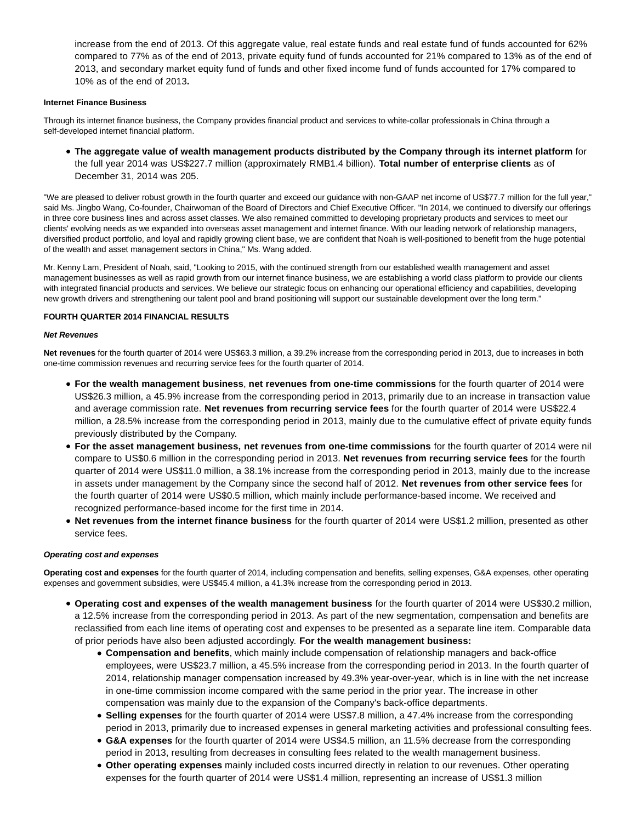increase from the end of 2013. Of this aggregate value, real estate funds and real estate fund of funds accounted for 62% compared to 77% as of the end of 2013, private equity fund of funds accounted for 21% compared to 13% as of the end of 2013, and secondary market equity fund of funds and other fixed income fund of funds accounted for 17% compared to 10% as of the end of 2013**.**

### **Internet Finance Business**

Through its internet finance business, the Company provides financial product and services to white-collar professionals in China through a self-developed internet financial platform.

**The aggregate value of wealth management products distributed by the Company through its internet platform** for the full year 2014 was US\$227.7 million (approximately RMB1.4 billion). **Total number of enterprise clients** as of December 31, 2014 was 205.

"We are pleased to deliver robust growth in the fourth quarter and exceed our guidance with non-GAAP net income of US\$77.7 million for the full year," said Ms. Jingbo Wang, Co-founder, Chairwoman of the Board of Directors and Chief Executive Officer. "In 2014, we continued to diversify our offerings in three core business lines and across asset classes. We also remained committed to developing proprietary products and services to meet our clients' evolving needs as we expanded into overseas asset management and internet finance. With our leading network of relationship managers, diversified product portfolio, and loyal and rapidly growing client base, we are confident that Noah is well-positioned to benefit from the huge potential of the wealth and asset management sectors in China," Ms. Wang added.

Mr. Kenny Lam, President of Noah, said, "Looking to 2015, with the continued strength from our established wealth management and asset management businesses as well as rapid growth from our internet finance business, we are establishing a world class platform to provide our clients with integrated financial products and services. We believe our strategic focus on enhancing our operational efficiency and capabilities, developing new growth drivers and strengthening our talent pool and brand positioning will support our sustainable development over the long term."

### **FOURTH QUARTER 2014 FINANCIAL RESULTS**

#### **Net Revenues**

**Net revenues** for the fourth quarter of 2014 were US\$63.3 million, a 39.2% increase from the corresponding period in 2013, due to increases in both one-time commission revenues and recurring service fees for the fourth quarter of 2014.

- **For the wealth management business**, **net revenues from one-time commissions** for the fourth quarter of 2014 were US\$26.3 million, a 45.9% increase from the corresponding period in 2013, primarily due to an increase in transaction value and average commission rate. **Net revenues from recurring service fees** for the fourth quarter of 2014 were US\$22.4 million, a 28.5% increase from the corresponding period in 2013, mainly due to the cumulative effect of private equity funds previously distributed by the Company.
- **For the asset management business, net revenues from one-time commissions** for the fourth quarter of 2014 were nil compare to US\$0.6 million in the corresponding period in 2013. **Net revenues from recurring service fees** for the fourth quarter of 2014 were US\$11.0 million, a 38.1% increase from the corresponding period in 2013, mainly due to the increase in assets under management by the Company since the second half of 2012. **Net revenues from other service fees** for the fourth quarter of 2014 were US\$0.5 million, which mainly include performance-based income. We received and recognized performance-based income for the first time in 2014.
- **Net revenues from the internet finance business** for the fourth quarter of 2014 were US\$1.2 million, presented as other service fees.

### **Operating cost and expenses**

**Operating cost and expenses** for the fourth quarter of 2014, including compensation and benefits, selling expenses, G&A expenses, other operating expenses and government subsidies, were US\$45.4 million, a 41.3% increase from the corresponding period in 2013.

- **Operating cost and expenses of the wealth management business** for the fourth quarter of 2014 were US\$30.2 million, a 12.5% increase from the corresponding period in 2013. As part of the new segmentation, compensation and benefits are reclassified from each line items of operating cost and expenses to be presented as a separate line item. Comparable data of prior periods have also been adjusted accordingly. **For the wealth management business:**
	- **Compensation and benefits**, which mainly include compensation of relationship managers and back-office employees, were US\$23.7 million, a 45.5% increase from the corresponding period in 2013. In the fourth quarter of 2014, relationship manager compensation increased by 49.3% year-over-year, which is in line with the net increase in one-time commission income compared with the same period in the prior year. The increase in other compensation was mainly due to the expansion of the Company's back-office departments.
	- **Selling expenses** for the fourth quarter of 2014 were US\$7.8 million, a 47.4% increase from the corresponding period in 2013, primarily due to increased expenses in general marketing activities and professional consulting fees.
	- **G&A expenses** for the fourth quarter of 2014 were US\$4.5 million, an 11.5% decrease from the corresponding period in 2013, resulting from decreases in consulting fees related to the wealth management business.
	- **Other operating expenses** mainly included costs incurred directly in relation to our revenues. Other operating expenses for the fourth quarter of 2014 were US\$1.4 million, representing an increase of US\$1.3 million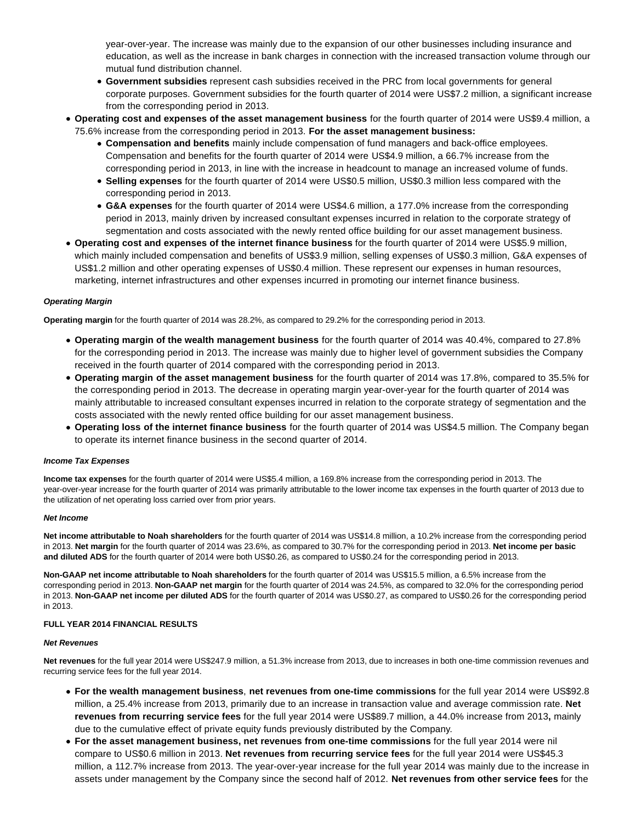year-over-year. The increase was mainly due to the expansion of our other businesses including insurance and education, as well as the increase in bank charges in connection with the increased transaction volume through our mutual fund distribution channel.

- **Government subsidies** represent cash subsidies received in the PRC from local governments for general corporate purposes. Government subsidies for the fourth quarter of 2014 were US\$7.2 million, a significant increase from the corresponding period in 2013.
- **Operating cost and expenses of the asset management business** for the fourth quarter of 2014 were US\$9.4 million, a
	- 75.6% increase from the corresponding period in 2013. **For the asset management business:**
		- **Compensation and benefits** mainly include compensation of fund managers and back-office employees. Compensation and benefits for the fourth quarter of 2014 were US\$4.9 million, a 66.7% increase from the corresponding period in 2013, in line with the increase in headcount to manage an increased volume of funds.
		- **Selling expenses** for the fourth quarter of 2014 were US\$0.5 million, US\$0.3 million less compared with the corresponding period in 2013.
		- **G&A expenses** for the fourth quarter of 2014 were US\$4.6 million, a 177.0% increase from the corresponding period in 2013, mainly driven by increased consultant expenses incurred in relation to the corporate strategy of segmentation and costs associated with the newly rented office building for our asset management business.
- **Operating cost and expenses of the internet finance business** for the fourth quarter of 2014 were US\$5.9 million, which mainly included compensation and benefits of US\$3.9 million, selling expenses of US\$0.3 million, G&A expenses of US\$1.2 million and other operating expenses of US\$0.4 million. These represent our expenses in human resources, marketing, internet infrastructures and other expenses incurred in promoting our internet finance business.

## **Operating Margin**

**Operating margin** for the fourth quarter of 2014 was 28.2%, as compared to 29.2% for the corresponding period in 2013.

- **Operating margin of the wealth management business** for the fourth quarter of 2014 was 40.4%, compared to 27.8% for the corresponding period in 2013. The increase was mainly due to higher level of government subsidies the Company received in the fourth quarter of 2014 compared with the corresponding period in 2013.
- **Operating margin of the asset management business** for the fourth quarter of 2014 was 17.8%, compared to 35.5% for the corresponding period in 2013. The decrease in operating margin year-over-year for the fourth quarter of 2014 was mainly attributable to increased consultant expenses incurred in relation to the corporate strategy of segmentation and the costs associated with the newly rented office building for our asset management business.
- **Operating loss of the internet finance business** for the fourth quarter of 2014 was US\$4.5 million. The Company began to operate its internet finance business in the second quarter of 2014.

## **Income Tax Expenses**

**Income tax expenses** for the fourth quarter of 2014 were US\$5.4 million, a 169.8% increase from the corresponding period in 2013. The year-over-year increase for the fourth quarter of 2014 was primarily attributable to the lower income tax expenses in the fourth quarter of 2013 due to the utilization of net operating loss carried over from prior years.

### **Net Income**

**Net income attributable to Noah shareholders** for the fourth quarter of 2014 was US\$14.8 million, a 10.2% increase from the corresponding period in 2013. **Net margin** for the fourth quarter of 2014 was 23.6%, as compared to 30.7% for the corresponding period in 2013. **Net income per basic and diluted ADS** for the fourth quarter of 2014 were both US\$0.26, as compared to US\$0.24 for the corresponding period in 2013.

**Non-GAAP net income attributable to Noah shareholders** for the fourth quarter of 2014 was US\$15.5 million, a 6.5% increase from the corresponding period in 2013. **Non-GAAP net margin** for the fourth quarter of 2014 was 24.5%, as compared to 32.0% for the corresponding period in 2013. **Non-GAAP net income per diluted ADS** for the fourth quarter of 2014 was US\$0.27, as compared to US\$0.26 for the corresponding period in 2013.

### **FULL YEAR 2014 FINANCIAL RESULTS**

### **Net Revenues**

**Net revenues** for the full year 2014 were US\$247.9 million, a 51.3% increase from 2013, due to increases in both one-time commission revenues and recurring service fees for the full year 2014.

- **For the wealth management business**, **net revenues from one-time commissions** for the full year 2014 were US\$92.8 million, a 25.4% increase from 2013, primarily due to an increase in transaction value and average commission rate. **Net revenues from recurring service fees** for the full year 2014 were US\$89.7 million, a 44.0% increase from 2013**,** mainly due to the cumulative effect of private equity funds previously distributed by the Company.
- **For the asset management business, net revenues from one-time commissions** for the full year 2014 were nil compare to US\$0.6 million in 2013. **Net revenues from recurring service fees** for the full year 2014 were US\$45.3 million, a 112.7% increase from 2013. The year-over-year increase for the full year 2014 was mainly due to the increase in assets under management by the Company since the second half of 2012. **Net revenues from other service fees** for the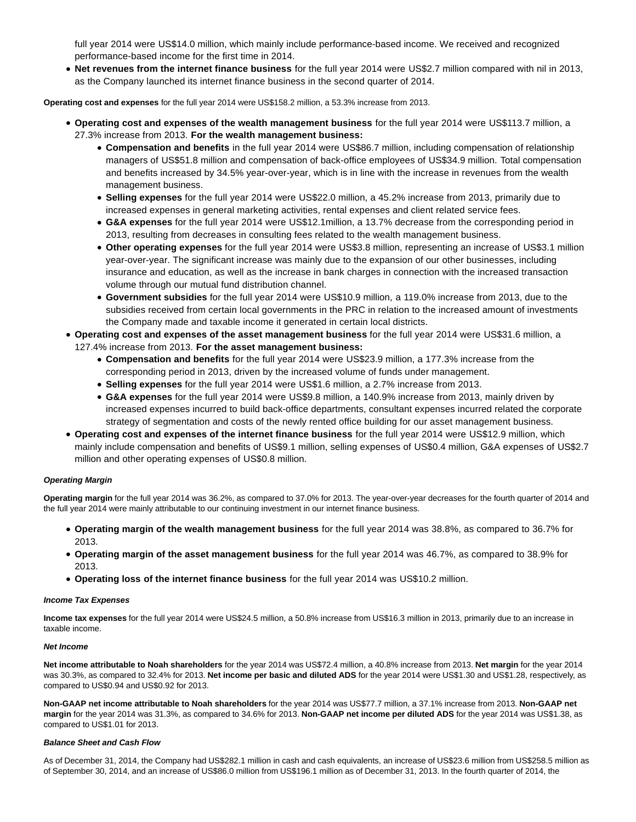full year 2014 were US\$14.0 million, which mainly include performance-based income. We received and recognized performance-based income for the first time in 2014.

**Net revenues from the internet finance business** for the full year 2014 were US\$2.7 million compared with nil in 2013, as the Company launched its internet finance business in the second quarter of 2014.

**Operating cost and expenses** for the full year 2014 were US\$158.2 million, a 53.3% increase from 2013.

- **Operating cost and expenses of the wealth management business** for the full year 2014 were US\$113.7 million, a 27.3% increase from 2013. **For the wealth management business:**
	- **Compensation and benefits** in the full year 2014 were US\$86.7 million, including compensation of relationship managers of US\$51.8 million and compensation of back-office employees of US\$34.9 million. Total compensation and benefits increased by 34.5% year-over-year, which is in line with the increase in revenues from the wealth management business.
	- **Selling expenses** for the full year 2014 were US\$22.0 million, a 45.2% increase from 2013, primarily due to increased expenses in general marketing activities, rental expenses and client related service fees.
	- **G&A expenses** for the full year 2014 were US\$12.1million, a 13.7% decrease from the corresponding period in 2013, resulting from decreases in consulting fees related to the wealth management business.
	- **Other operating expenses** for the full year 2014 were US\$3.8 million, representing an increase of US\$3.1 million year-over-year. The significant increase was mainly due to the expansion of our other businesses, including insurance and education, as well as the increase in bank charges in connection with the increased transaction volume through our mutual fund distribution channel.
	- **Government subsidies** for the full year 2014 were US\$10.9 million, a 119.0% increase from 2013, due to the subsidies received from certain local governments in the PRC in relation to the increased amount of investments the Company made and taxable income it generated in certain local districts.
- **Operating cost and expenses of the asset management business** for the full year 2014 were US\$31.6 million, a 127.4% increase from 2013. **For the asset management business:**
	- **Compensation and benefits** for the full year 2014 were US\$23.9 million, a 177.3% increase from the corresponding period in 2013, driven by the increased volume of funds under management.
	- **Selling expenses** for the full year 2014 were US\$1.6 million, a 2.7% increase from 2013.
	- **G&A expenses** for the full year 2014 were US\$9.8 million, a 140.9% increase from 2013, mainly driven by increased expenses incurred to build back-office departments, consultant expenses incurred related the corporate strategy of segmentation and costs of the newly rented office building for our asset management business.
- **Operating cost and expenses of the internet finance business** for the full year 2014 were US\$12.9 million, which mainly include compensation and benefits of US\$9.1 million, selling expenses of US\$0.4 million, G&A expenses of US\$2.7 million and other operating expenses of US\$0.8 million.

## **Operating Margin**

**Operating margin** for the full year 2014 was 36.2%, as compared to 37.0% for 2013. The year-over-year decreases for the fourth quarter of 2014 and the full year 2014 were mainly attributable to our continuing investment in our internet finance business.

- **Operating margin of the wealth management business** for the full year 2014 was 38.8%, as compared to 36.7% for 2013.
- **Operating margin of the asset management business** for the full year 2014 was 46.7%, as compared to 38.9% for 2013.
- **Operating loss of the internet finance business** for the full year 2014 was US\$10.2 million.

### **Income Tax Expenses**

**Income tax expenses** for the full year 2014 were US\$24.5 million, a 50.8% increase from US\$16.3 million in 2013, primarily due to an increase in taxable income.

### **Net Income**

**Net income attributable to Noah shareholders** for the year 2014 was US\$72.4 million, a 40.8% increase from 2013. **Net margin** for the year 2014 was 30.3%, as compared to 32.4% for 2013. **Net income per basic and diluted ADS** for the year 2014 were US\$1.30 and US\$1.28, respectively, as compared to US\$0.94 and US\$0.92 for 2013.

**Non-GAAP net income attributable to Noah shareholders** for the year 2014 was US\$77.7 million, a 37.1% increase from 2013. **Non-GAAP net margin** for the year 2014 was 31.3%, as compared to 34.6% for 2013. **Non-GAAP net income per diluted ADS** for the year 2014 was US\$1.38, as compared to US\$1.01 for 2013.

## **Balance Sheet and Cash Flow**

As of December 31, 2014, the Company had US\$282.1 million in cash and cash equivalents, an increase of US\$23.6 million from US\$258.5 million as of September 30, 2014, and an increase of US\$86.0 million from US\$196.1 million as of December 31, 2013. In the fourth quarter of 2014, the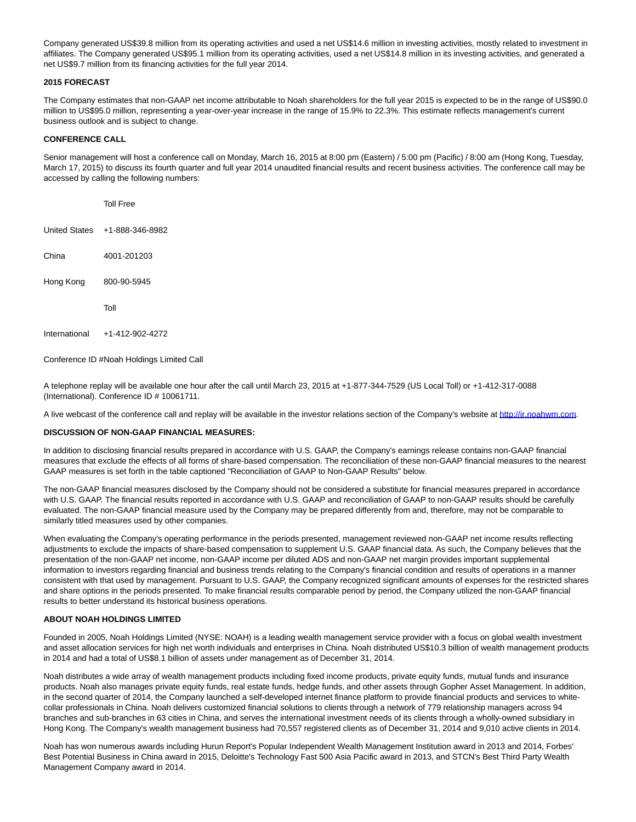Company generated US\$39.8 million from its operating activities and used a net US\$14.6 million in investing activities, mostly related to investment in affiliates. The Company generated US\$95.1 million from its operating activities, used a net US\$14.8 million in its investing activities, and generated a net US\$9.7 million from its financing activities for the full year 2014.

### **2015 FORECAST**

The Company estimates that non-GAAP net income attributable to Noah shareholders for the full year 2015 is expected to be in the range of US\$90.0 million to US\$95.0 million, representing a year-over-year increase in the range of 15.9% to 22.3%. This estimate reflects management's current business outlook and is subject to change.

#### **CONFERENCE CALL**

Senior management will host a conference call on Monday, March 16, 2015 at 8:00 pm (Eastern) / 5:00 pm (Pacific) / 8:00 am (Hong Kong, Tuesday, March 17, 2015) to discuss its fourth quarter and full year 2014 unaudited financial results and recent business activities. The conference call may be accessed by calling the following numbers:

|           | <b>Toll Free</b>              |
|-----------|-------------------------------|
|           | United States +1-888-346-8982 |
| China     | 4001-201203                   |
| Hong Kong | 800-90-5945                   |
|           | Toll                          |
|           | International +1-412-902-4272 |
|           |                               |

Conference ID #Noah Holdings Limited Call

A telephone replay will be available one hour after the call until March 23, 2015 at +1-877-344-7529 (US Local Toll) or +1-412-317-0088 (International). Conference ID # 10061711.

A live webcast of the conference call and replay will be available in the investor relations section of the Company's website a[t http://ir.noahwm.com.](http://ir.noahwm.com/)

#### **DISCUSSION OF NON-GAAP FINANCIAL MEASURES:**

In addition to disclosing financial results prepared in accordance with U.S. GAAP, the Company's earnings release contains non-GAAP financial measures that exclude the effects of all forms of share-based compensation. The reconciliation of these non-GAAP financial measures to the nearest GAAP measures is set forth in the table captioned "Reconciliation of GAAP to Non-GAAP Results" below.

The non-GAAP financial measures disclosed by the Company should not be considered a substitute for financial measures prepared in accordance with U.S. GAAP. The financial results reported in accordance with U.S. GAAP and reconciliation of GAAP to non-GAAP results should be carefully evaluated. The non-GAAP financial measure used by the Company may be prepared differently from and, therefore, may not be comparable to similarly titled measures used by other companies.

When evaluating the Company's operating performance in the periods presented, management reviewed non-GAAP net income results reflecting adjustments to exclude the impacts of share-based compensation to supplement U.S. GAAP financial data. As such, the Company believes that the presentation of the non-GAAP net income, non-GAAP income per diluted ADS and non-GAAP net margin provides important supplemental information to investors regarding financial and business trends relating to the Company's financial condition and results of operations in a manner consistent with that used by management. Pursuant to U.S. GAAP, the Company recognized significant amounts of expenses for the restricted shares and share options in the periods presented. To make financial results comparable period by period, the Company utilized the non-GAAP financial results to better understand its historical business operations.

#### **ABOUT NOAH HOLDINGS LIMITED**

Founded in 2005, Noah Holdings Limited (NYSE: NOAH) is a leading wealth management service provider with a focus on global wealth investment and asset allocation services for high net worth individuals and enterprises in China. Noah distributed US\$10.3 billion of wealth management products in 2014 and had a total of US\$8.1 billion of assets under management as of December 31, 2014.

Noah distributes a wide array of wealth management products including fixed income products, private equity funds, mutual funds and insurance products. Noah also manages private equity funds, real estate funds, hedge funds, and other assets through Gopher Asset Management. In addition, in the second quarter of 2014, the Company launched a self-developed internet finance platform to provide financial products and services to whitecollar professionals in China. Noah delivers customized financial solutions to clients through a network of 779 relationship managers across 94 branches and sub-branches in 63 cities in China, and serves the international investment needs of its clients through a wholly-owned subsidiary in Hong Kong. The Company's wealth management business had 70,557 registered clients as of December 31, 2014 and 9,010 active clients in 2014.

Noah has won numerous awards including Hurun Report's Popular Independent Wealth Management Institution award in 2013 and 2014, Forbes' Best Potential Business in China award in 2015, Deloitte's Technology Fast 500 Asia Pacific award in 2013, and STCN's Best Third Party Wealth Management Company award in 2014.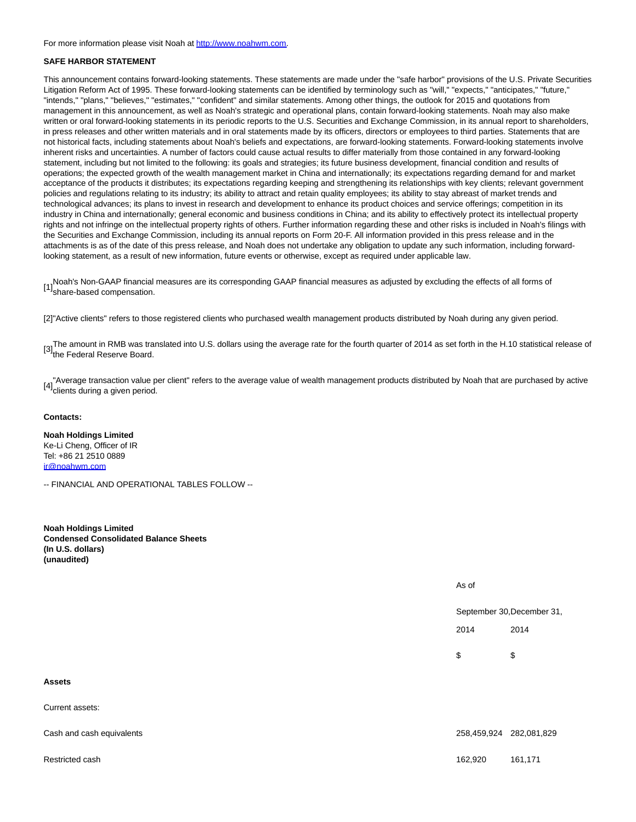For more information please visit Noah at [http://www.noahwm.com.](http://www.noahwm.com/)

### **SAFE HARBOR STATEMENT**

This announcement contains forward-looking statements. These statements are made under the "safe harbor" provisions of the U.S. Private Securities Litigation Reform Act of 1995. These forward-looking statements can be identified by terminology such as "will," "expects," "anticipates," "future," "intends," "plans," "believes," "estimates," "confident" and similar statements. Among other things, the outlook for 2015 and quotations from management in this announcement, as well as Noah's strategic and operational plans, contain forward-looking statements. Noah may also make written or oral forward-looking statements in its periodic reports to the U.S. Securities and Exchange Commission, in its annual report to shareholders, in press releases and other written materials and in oral statements made by its officers, directors or employees to third parties. Statements that are not historical facts, including statements about Noah's beliefs and expectations, are forward-looking statements. Forward-looking statements involve inherent risks and uncertainties. A number of factors could cause actual results to differ materially from those contained in any forward-looking statement, including but not limited to the following: its goals and strategies; its future business development, financial condition and results of operations; the expected growth of the wealth management market in China and internationally; its expectations regarding demand for and market acceptance of the products it distributes; its expectations regarding keeping and strengthening its relationships with key clients; relevant government policies and regulations relating to its industry; its ability to attract and retain quality employees; its ability to stay abreast of market trends and technological advances; its plans to invest in research and development to enhance its product choices and service offerings; competition in its industry in China and internationally; general economic and business conditions in China; and its ability to effectively protect its intellectual property rights and not infringe on the intellectual property rights of others. Further information regarding these and other risks is included in Noah's filings with the Securities and Exchange Commission, including its annual reports on Form 20-F. All information provided in this press release and in the attachments is as of the date of this press release, and Noah does not undertake any obligation to update any such information, including forwardlooking statement, as a result of new information, future events or otherwise, except as required under applicable law.

[1]<sup>Noah's</sup> Non-GAAP financial measures are its corresponding GAAP financial measures as adjusted by excluding the effects of all forms of<br>[1]share-based compensation.

[2]"Active clients" refers to those registered clients who purchased wealth management products distributed by Noah during any given period.

[3]The amount in RMB was translated into U.S. dollars using the average rate for the fourth quarter of 2014 as set forth in the H.10 statistical release of<br><sup>[3]</sup>the Federal Reserve Board.

[4] Average transaction value per client" refers to the average value of wealth management products distributed by Noah that are purchased by active<br>[4] clients during a given period.

#### **Contacts:**

**Noah Holdings Limited** Ke-Li Cheng, Officer of IR Tel: +86 21 2510 0889 [ir@noahwm.com](mailto:ir@noahwm.com) 

-- FINANCIAL AND OPERATIONAL TABLES FOLLOW --

**Noah Holdings Limited Condensed Consolidated Balance Sheets (In U.S. dollars) (unaudited)**

|                           | As of                      |         |
|---------------------------|----------------------------|---------|
|                           | September 30, December 31, |         |
|                           | 2014                       | 2014    |
|                           | \$                         | \$      |
| Assets                    |                            |         |
| Current assets:           |                            |         |
| Cash and cash equivalents | 258,459,924 282,081,829    |         |
| Restricted cash           | 162,920                    | 161,171 |
|                           |                            |         |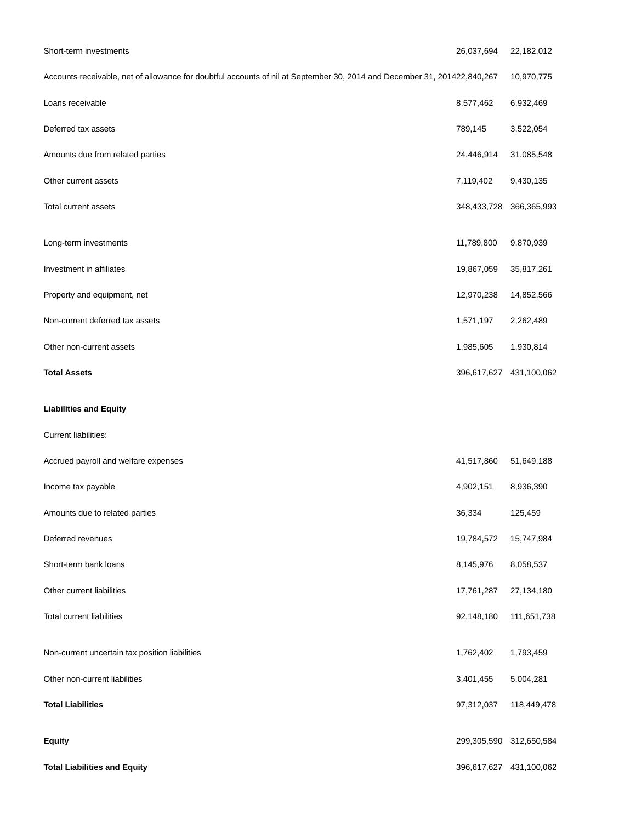| Short-term investments                                                                                                   | 26,037,694              | 22,182,012  |
|--------------------------------------------------------------------------------------------------------------------------|-------------------------|-------------|
| Accounts receivable, net of allowance for doubtful accounts of nil at September 30, 2014 and December 31, 201422,840,267 |                         | 10,970,775  |
| Loans receivable                                                                                                         | 8,577,462               | 6,932,469   |
| Deferred tax assets                                                                                                      | 789,145                 | 3,522,054   |
| Amounts due from related parties                                                                                         | 24,446,914              | 31,085,548  |
| Other current assets                                                                                                     | 7,119,402               | 9,430,135   |
| Total current assets                                                                                                     | 348,433,728             | 366,365,993 |
| Long-term investments                                                                                                    | 11,789,800              | 9,870,939   |
| Investment in affiliates                                                                                                 | 19,867,059              | 35,817,261  |
| Property and equipment, net                                                                                              | 12,970,238              | 14,852,566  |
| Non-current deferred tax assets                                                                                          | 1,571,197               | 2,262,489   |
| Other non-current assets                                                                                                 | 1,985,605               | 1,930,814   |
| <b>Total Assets</b>                                                                                                      | 396,617,627 431,100,062 |             |
| <b>Liabilities and Equity</b>                                                                                            |                         |             |
| Current liabilities:                                                                                                     |                         |             |
| Accrued payroll and welfare expenses                                                                                     | 41,517,860              | 51,649,188  |
| Income tax payable                                                                                                       | 4,902,151               | 8,936,390   |
| Amounts due to related parties                                                                                           | 36,334                  | 125,459     |
| Deferred revenues                                                                                                        | 19,784,572              | 15,747,984  |
| Short-term bank loans                                                                                                    | 8,145,976               | 8,058,537   |
| Other current liabilities                                                                                                | 17,761,287              | 27,134,180  |
| <b>Total current liabilities</b>                                                                                         | 92,148,180              | 111,651,738 |
| Non-current uncertain tax position liabilities                                                                           | 1,762,402               | 1,793,459   |
| Other non-current liabilities                                                                                            | 3,401,455               | 5,004,281   |
| <b>Total Liabilities</b>                                                                                                 | 97,312,037              | 118,449,478 |
| <b>Equity</b>                                                                                                            | 299,305,590 312,650,584 |             |
| <b>Total Liabilities and Equity</b>                                                                                      | 396,617,627 431,100,062 |             |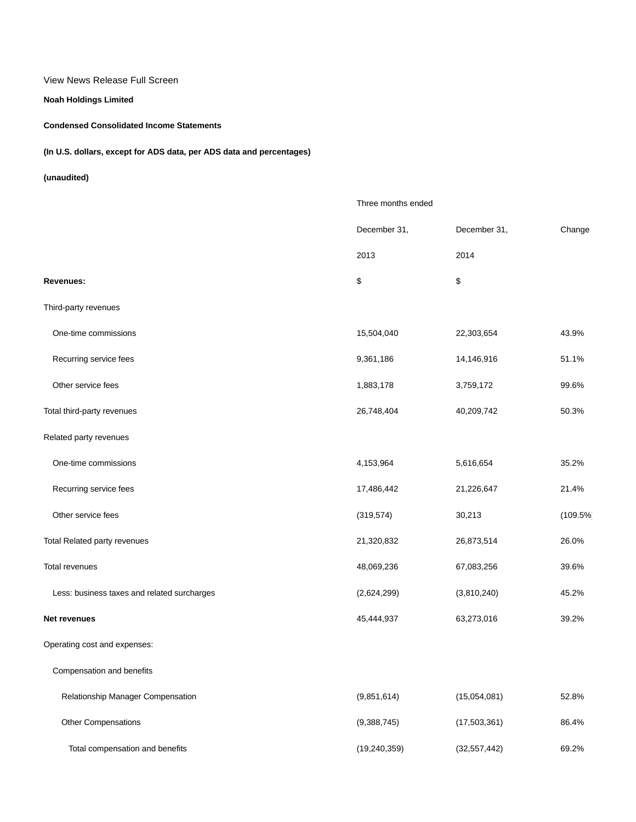# View News Release Full Screen

# **Noah Holdings Limited**

# **Condensed Consolidated Income Statements**

# **(In U.S. dollars, except for ADS data, per ADS data and percentages)**

|                                             | Three months ended |                |         |
|---------------------------------------------|--------------------|----------------|---------|
|                                             | December 31,       | December 31,   | Change  |
|                                             | 2013               | 2014           |         |
| Revenues:                                   | \$                 | \$             |         |
| Third-party revenues                        |                    |                |         |
| One-time commissions                        | 15,504,040         | 22,303,654     | 43.9%   |
| Recurring service fees                      | 9,361,186          | 14,146,916     | 51.1%   |
| Other service fees                          | 1,883,178          | 3,759,172      | 99.6%   |
| Total third-party revenues                  | 26,748,404         | 40,209,742     | 50.3%   |
| Related party revenues                      |                    |                |         |
| One-time commissions                        | 4,153,964          | 5,616,654      | 35.2%   |
| Recurring service fees                      | 17,486,442         | 21,226,647     | 21.4%   |
| Other service fees                          | (319, 574)         | 30,213         | (109.5% |
| Total Related party revenues                | 21,320,832         | 26,873,514     | 26.0%   |
| Total revenues                              | 48,069,236         | 67,083,256     | 39.6%   |
| Less: business taxes and related surcharges | (2,624,299)        | (3,810,240)    | 45.2%   |
| Net revenues                                | 45,444,937         | 63,273,016     | 39.2%   |
| Operating cost and expenses:                |                    |                |         |
| Compensation and benefits                   |                    |                |         |
| Relationship Manager Compensation           | (9,851,614)        | (15,054,081)   | 52.8%   |
| Other Compensations                         | (9,388,745)        | (17,503,361)   | 86.4%   |
| Total compensation and benefits             | (19, 240, 359)     | (32, 557, 442) | 69.2%   |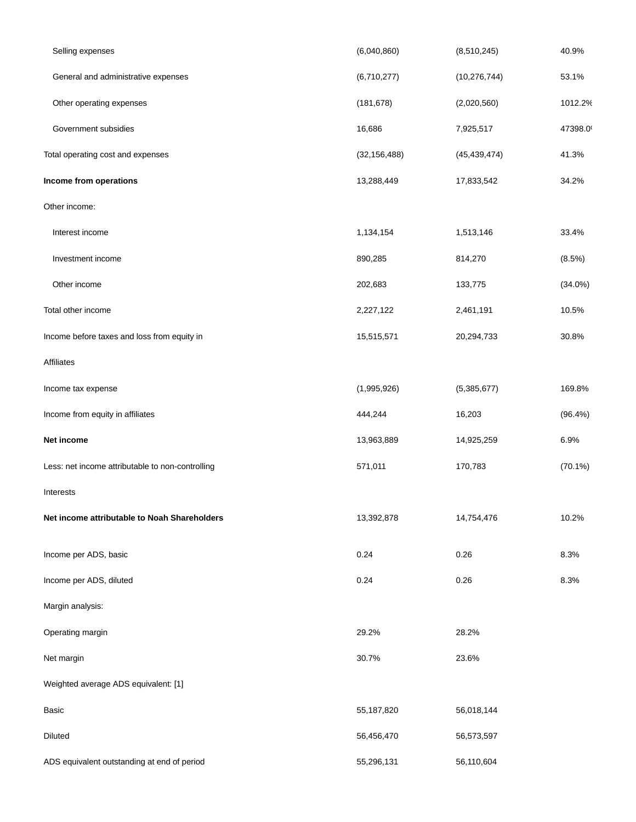| Selling expenses                                 | (6,040,860)    | (8,510,245)    | 40.9%      |
|--------------------------------------------------|----------------|----------------|------------|
| General and administrative expenses              | (6,710,277)    | (10, 276, 744) | 53.1%      |
| Other operating expenses                         | (181, 678)     | (2,020,560)    | 1012.2%    |
| Government subsidies                             | 16,686         | 7,925,517      | 47398.0    |
| Total operating cost and expenses                | (32, 156, 488) | (45, 439, 474) | 41.3%      |
| Income from operations                           | 13,288,449     | 17,833,542     | 34.2%      |
| Other income:                                    |                |                |            |
| Interest income                                  | 1,134,154      | 1,513,146      | 33.4%      |
| Investment income                                | 890,285        | 814,270        | (8.5%)     |
| Other income                                     | 202,683        | 133,775        | $(34.0\%)$ |
| Total other income                               | 2,227,122      | 2,461,191      | 10.5%      |
| Income before taxes and loss from equity in      | 15,515,571     | 20,294,733     | 30.8%      |
| Affiliates                                       |                |                |            |
| Income tax expense                               | (1,995,926)    | (5,385,677)    | 169.8%     |
| Income from equity in affiliates                 | 444,244        | 16,203         | $(96.4\%)$ |
| Net income                                       | 13,963,889     | 14,925,259     | 6.9%       |
| Less: net income attributable to non-controlling | 571,011        | 170,783        | $(70.1\%)$ |
| Interests                                        |                |                |            |
| Net income attributable to Noah Shareholders     | 13,392,878     | 14,754,476     | 10.2%      |
| Income per ADS, basic                            | 0.24           | 0.26           | 8.3%       |
| Income per ADS, diluted                          | 0.24           | 0.26           | 8.3%       |
| Margin analysis:                                 |                |                |            |
| Operating margin                                 | 29.2%          | 28.2%          |            |
| Net margin                                       | 30.7%          | 23.6%          |            |
| Weighted average ADS equivalent: [1]             |                |                |            |
| Basic                                            | 55,187,820     | 56,018,144     |            |
| Diluted                                          | 56,456,470     | 56,573,597     |            |
| ADS equivalent outstanding at end of period      | 55,296,131     | 56,110,604     |            |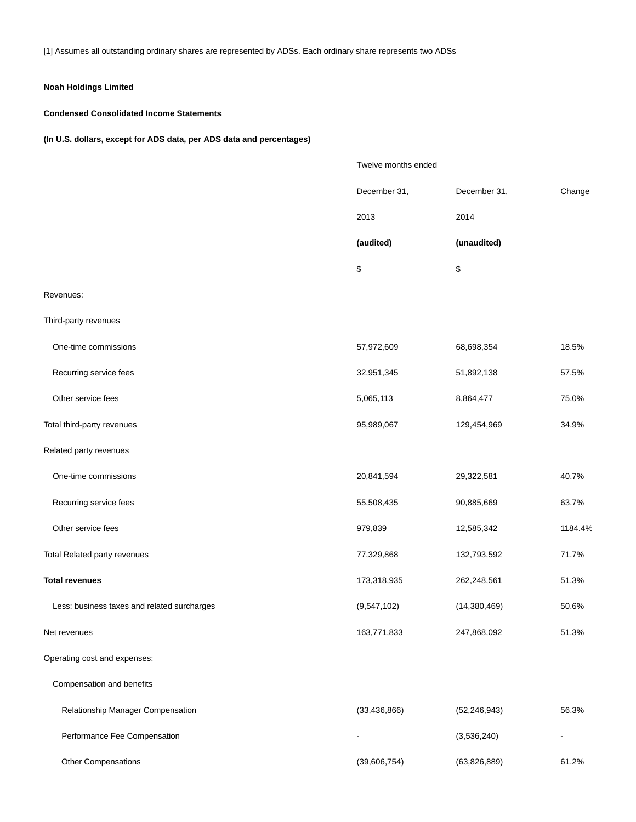[1] Assumes all outstanding ordinary shares are represented by ADSs. Each ordinary share represents two ADSs

# **Noah Holdings Limited**

### **Condensed Consolidated Income Statements**

**(In U.S. dollars, except for ADS data, per ADS data and percentages)**

|                                             | Twelve months ended |                |         |
|---------------------------------------------|---------------------|----------------|---------|
|                                             | December 31,        | December 31,   | Change  |
|                                             | 2013                | 2014           |         |
|                                             | (audited)           | (unaudited)    |         |
|                                             | \$                  | \$             |         |
| Revenues:                                   |                     |                |         |
| Third-party revenues                        |                     |                |         |
| One-time commissions                        | 57,972,609          | 68,698,354     | 18.5%   |
| Recurring service fees                      | 32,951,345          | 51,892,138     | 57.5%   |
| Other service fees                          | 5,065,113           | 8,864,477      | 75.0%   |
| Total third-party revenues                  | 95,989,067          | 129,454,969    | 34.9%   |
| Related party revenues                      |                     |                |         |
| One-time commissions                        | 20,841,594          | 29,322,581     | 40.7%   |
| Recurring service fees                      | 55,508,435          | 90,885,669     | 63.7%   |
| Other service fees                          | 979,839             | 12,585,342     | 1184.4% |
| Total Related party revenues                | 77,329,868          | 132,793,592    | 71.7%   |
| <b>Total revenues</b>                       | 173,318,935         | 262,248,561    | 51.3%   |
| Less: business taxes and related surcharges | (9,547,102)         | (14,380,469)   | 50.6%   |
| Net revenues                                | 163,771,833         | 247,868,092    | 51.3%   |
| Operating cost and expenses:                |                     |                |         |
| Compensation and benefits                   |                     |                |         |
| Relationship Manager Compensation           | (33, 436, 866)      | (52, 246, 943) | 56.3%   |
| Performance Fee Compensation                | $\blacksquare$      | (3,536,240)    |         |
| Other Compensations                         | (39,606,754)        | (63,826,889)   | 61.2%   |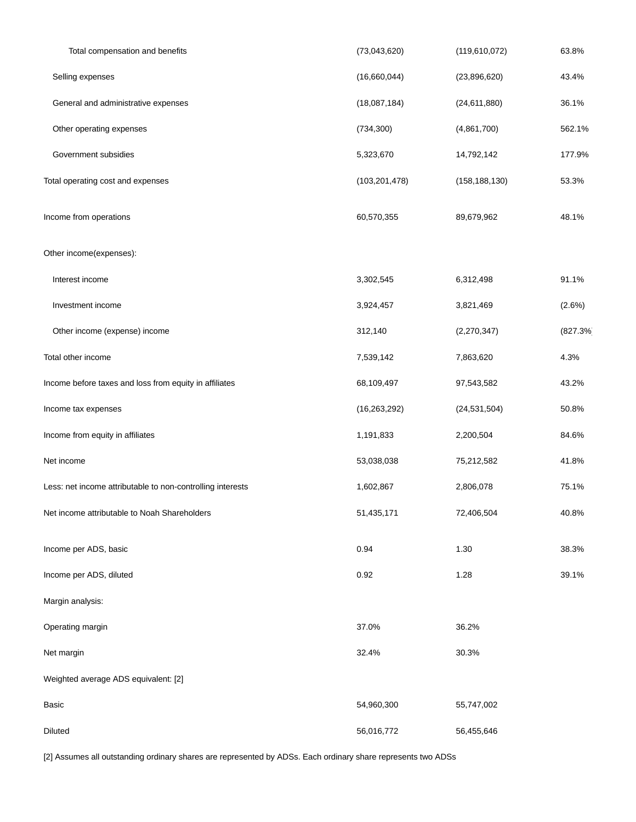| Total compensation and benefits                            | (73,043,620)    | (119, 610, 072) | 63.8%   |
|------------------------------------------------------------|-----------------|-----------------|---------|
| Selling expenses                                           | (16,660,044)    | (23,896,620)    | 43.4%   |
| General and administrative expenses                        | (18,087,184)    | (24, 611, 880)  | 36.1%   |
| Other operating expenses                                   | (734, 300)      | (4,861,700)     | 562.1%  |
| Government subsidies                                       | 5,323,670       | 14,792,142      | 177.9%  |
| Total operating cost and expenses                          | (103, 201, 478) | (158, 188, 130) | 53.3%   |
| Income from operations                                     | 60,570,355      | 89,679,962      | 48.1%   |
| Other income(expenses):                                    |                 |                 |         |
| Interest income                                            | 3,302,545       | 6,312,498       | 91.1%   |
| Investment income                                          | 3,924,457       | 3,821,469       | (2.6%)  |
| Other income (expense) income                              | 312,140         | (2,270,347)     | (827.3% |
| Total other income                                         | 7,539,142       | 7,863,620       | 4.3%    |
| Income before taxes and loss from equity in affiliates     | 68,109,497      | 97,543,582      | 43.2%   |
| Income tax expenses                                        | (16, 263, 292)  | (24, 531, 504)  | 50.8%   |
| Income from equity in affiliates                           | 1,191,833       | 2,200,504       | 84.6%   |
| Net income                                                 | 53,038,038      | 75,212,582      | 41.8%   |
| Less: net income attributable to non-controlling interests | 1,602,867       | 2,806,078       | 75.1%   |
| Net income attributable to Noah Shareholders               | 51,435,171      | 72,406,504      | 40.8%   |
| Income per ADS, basic                                      | 0.94            | 1.30            | 38.3%   |
| Income per ADS, diluted                                    | 0.92            | 1.28            | 39.1%   |
| Margin analysis:                                           |                 |                 |         |
| Operating margin                                           | 37.0%           | 36.2%           |         |
| Net margin                                                 | 32.4%           | 30.3%           |         |
| Weighted average ADS equivalent: [2]                       |                 |                 |         |
| Basic                                                      | 54,960,300      | 55,747,002      |         |
| <b>Diluted</b>                                             | 56,016,772      | 56,455,646      |         |

[2] Assumes all outstanding ordinary shares are represented by ADSs. Each ordinary share represents two ADSs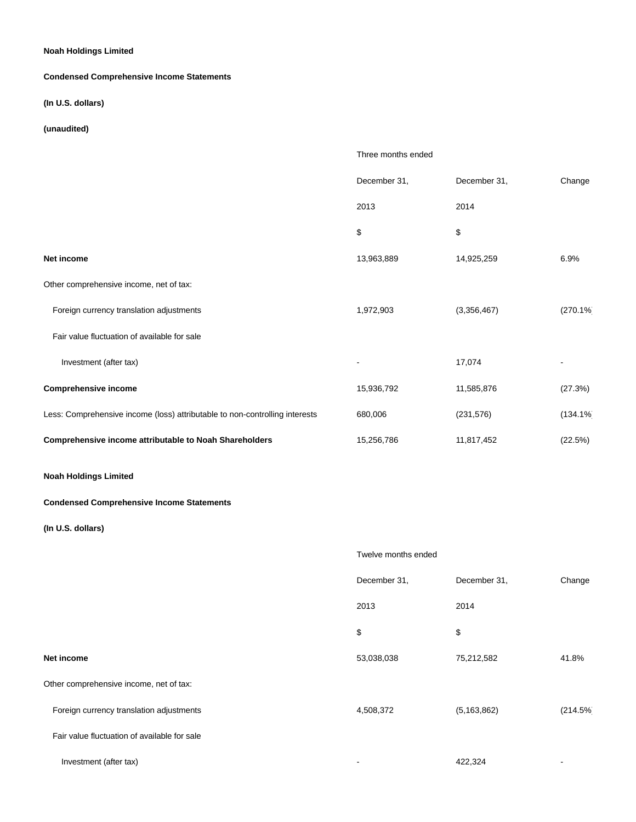# **Noah Holdings Limited**

# **Condensed Comprehensive Income Statements**

# **(In U.S. dollars)**

|                                                                             | Three months ended  |              |         |
|-----------------------------------------------------------------------------|---------------------|--------------|---------|
|                                                                             | December 31,        | December 31, | Change  |
|                                                                             | 2013                | 2014         |         |
|                                                                             | \$                  | \$           |         |
| Net income                                                                  | 13,963,889          | 14,925,259   | 6.9%    |
| Other comprehensive income, net of tax:                                     |                     |              |         |
| Foreign currency translation adjustments                                    | 1,972,903           | (3,356,467)  | (270.1% |
| Fair value fluctuation of available for sale                                |                     |              |         |
| Investment (after tax)                                                      |                     | 17,074       |         |
| <b>Comprehensive income</b>                                                 | 15,936,792          | 11,585,876   | (27.3%) |
| Less: Comprehensive income (loss) attributable to non-controlling interests | 680,006             | (231, 576)   | (134.1% |
| Comprehensive income attributable to Noah Shareholders                      | 15,256,786          | 11,817,452   | (22.5%) |
| <b>Noah Holdings Limited</b>                                                |                     |              |         |
| <b>Condensed Comprehensive Income Statements</b>                            |                     |              |         |
| (In U.S. dollars)                                                           |                     |              |         |
|                                                                             | Twelve months ended |              |         |

|                                              | December 31,             | December 31,  | Change         |
|----------------------------------------------|--------------------------|---------------|----------------|
|                                              | 2013                     | 2014          |                |
|                                              | \$                       | \$            |                |
| <b>Net income</b>                            | 53,038,038               | 75,212,582    | 41.8%          |
| Other comprehensive income, net of tax:      |                          |               |                |
| Foreign currency translation adjustments     | 4,508,372                | (5, 163, 862) | (214.5%        |
| Fair value fluctuation of available for sale |                          |               |                |
| Investment (after tax)                       | $\overline{\phantom{a}}$ | 422,324       | $\blacksquare$ |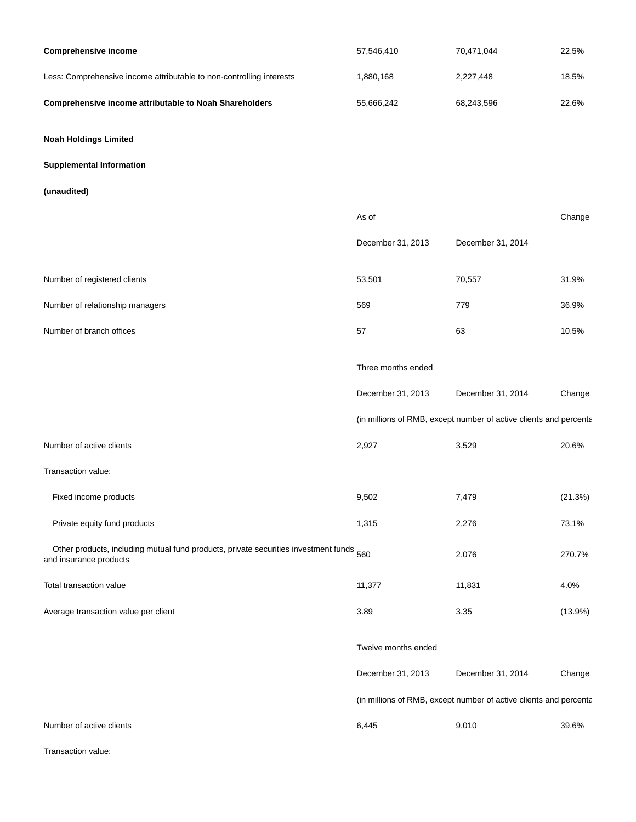| <b>Comprehensive income</b>                                                                                       | 57,546,410          | 70,471,044                                                        | 22.5%   |
|-------------------------------------------------------------------------------------------------------------------|---------------------|-------------------------------------------------------------------|---------|
| Less: Comprehensive income attributable to non-controlling interests                                              | 1,880,168           | 2,227,448                                                         | 18.5%   |
| <b>Comprehensive income attributable to Noah Shareholders</b>                                                     | 55,666,242          | 68,243,596                                                        | 22.6%   |
| <b>Noah Holdings Limited</b>                                                                                      |                     |                                                                   |         |
| <b>Supplemental Information</b>                                                                                   |                     |                                                                   |         |
| (unaudited)                                                                                                       |                     |                                                                   |         |
|                                                                                                                   | As of               |                                                                   | Change  |
|                                                                                                                   | December 31, 2013   | December 31, 2014                                                 |         |
| Number of registered clients                                                                                      | 53,501              | 70,557                                                            | 31.9%   |
| Number of relationship managers                                                                                   | 569                 | 779                                                               | 36.9%   |
| Number of branch offices                                                                                          | 57                  | 63                                                                | 10.5%   |
|                                                                                                                   | Three months ended  |                                                                   |         |
|                                                                                                                   | December 31, 2013   | December 31, 2014                                                 | Change  |
|                                                                                                                   |                     | (in millions of RMB, except number of active clients and percenta |         |
| Number of active clients                                                                                          | 2,927               | 3,529                                                             | 20.6%   |
| Transaction value:                                                                                                |                     |                                                                   |         |
| Fixed income products                                                                                             | 9,502               | 7,479                                                             | (21.3%) |
| Private equity fund products                                                                                      | 1,315               | 2,276                                                             | 73.1%   |
| Other products, including mutual fund products, private securities investment funds 560<br>and insurance products |                     | 2,076                                                             | 270.7%  |
| Total transaction value                                                                                           | 11,377              | 11,831                                                            | 4.0%    |
| Average transaction value per client                                                                              | 3.89                | 3.35                                                              | (13.9%) |
|                                                                                                                   | Twelve months ended |                                                                   |         |
|                                                                                                                   | December 31, 2013   | December 31, 2014                                                 | Change  |
|                                                                                                                   |                     |                                                                   |         |
|                                                                                                                   |                     | (in millions of RMB, except number of active clients and percenta |         |
| Number of active clients                                                                                          | 6,445               | 9,010                                                             | 39.6%   |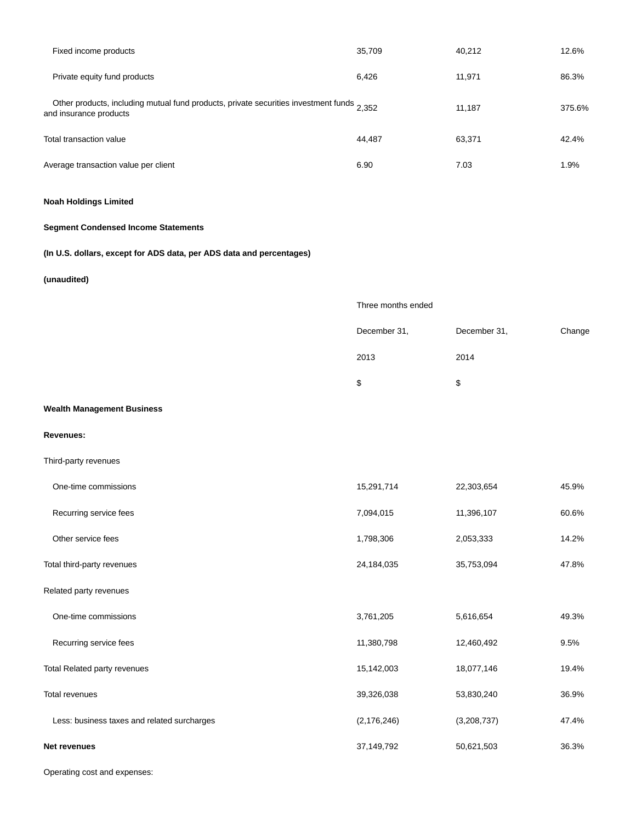| Fixed income products                                                                                               | 35,709             | 40,212       | 12.6%  |
|---------------------------------------------------------------------------------------------------------------------|--------------------|--------------|--------|
| Private equity fund products                                                                                        | 6,426              | 11,971       | 86.3%  |
| Other products, including mutual fund products, private securities investment funds 2,352<br>and insurance products |                    | 11,187       | 375.6% |
| Total transaction value                                                                                             | 44,487             | 63,371       | 42.4%  |
| Average transaction value per client                                                                                | 6.90               | 7.03         | 1.9%   |
| <b>Noah Holdings Limited</b>                                                                                        |                    |              |        |
| <b>Segment Condensed Income Statements</b>                                                                          |                    |              |        |
| (In U.S. dollars, except for ADS data, per ADS data and percentages)                                                |                    |              |        |
| (unaudited)                                                                                                         |                    |              |        |
|                                                                                                                     | Three months ended |              |        |
|                                                                                                                     | December 31,       | December 31, | Change |
|                                                                                                                     | 2013               | 2014         |        |
|                                                                                                                     | \$                 | \$           |        |
| <b>Wealth Management Business</b>                                                                                   |                    |              |        |
| <b>Revenues:</b>                                                                                                    |                    |              |        |
| Third-party revenues                                                                                                |                    |              |        |
| One-time commissions                                                                                                | 15,291,714         | 22,303,654   | 45.9%  |
| Recurring service fees                                                                                              | 7,094,015          | 11,396,107   | 60.6%  |
| Other service fees                                                                                                  | 1,798,306          | 2,053,333    | 14.2%  |
| Total third-party revenues                                                                                          | 24,184,035         | 35,753,094   | 47.8%  |
| Related party revenues                                                                                              |                    |              |        |
| One-time commissions                                                                                                | 3,761,205          | 5,616,654    | 49.3%  |
| Recurring service fees                                                                                              | 11,380,798         | 12,460,492   | 9.5%   |
| Total Related party revenues                                                                                        | 15,142,003         | 18,077,146   | 19.4%  |
| Total revenues                                                                                                      | 39,326,038         | 53,830,240   | 36.9%  |
| Less: business taxes and related surcharges                                                                         | (2, 176, 246)      | (3,208,737)  | 47.4%  |
| Net revenues                                                                                                        | 37, 149, 792       | 50,621,503   | 36.3%  |

Operating cost and expenses: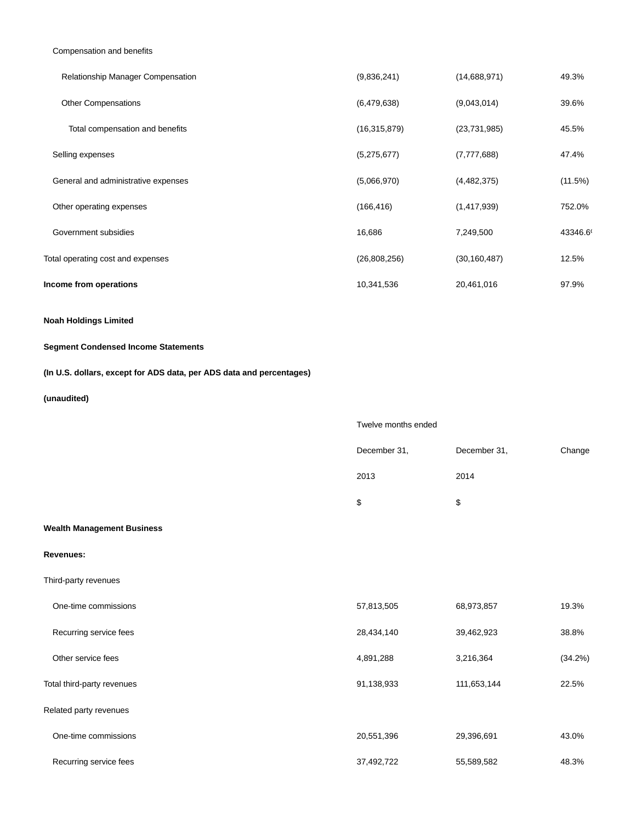# Compensation and benefits

| Relationship Manager Compensation   | (9,836,241)    | (14,688,971)   | 49.3%   |
|-------------------------------------|----------------|----------------|---------|
| <b>Other Compensations</b>          | (6,479,638)    | (9,043,014)    | 39.6%   |
| Total compensation and benefits     | (16, 315, 879) | (23, 731, 985) | 45.5%   |
| Selling expenses                    | (5,275,677)    | (7, 777, 688)  | 47.4%   |
| General and administrative expenses | (5,066,970)    | (4,482,375)    | (11.5%) |
| Other operating expenses            | (166, 416)     | (1,417,939)    | 752.0%  |
| Government subsidies                | 16,686         | 7,249,500      | 43346.6 |
| Total operating cost and expenses   | (26,808,256)   | (30, 160, 487) | 12.5%   |
| Income from operations              | 10,341,536     | 20,461,016     | 97.9%   |

## **Noah Holdings Limited**

### **Segment Condensed Income Statements**

**(In U.S. dollars, except for ADS data, per ADS data and percentages)**

### **(unaudited)**

| Twelve months ended |              |        |
|---------------------|--------------|--------|
| December 31,        | December 31. | Change |

|      | $-$  |
|------|------|
| 2013 | 2014 |
|      |      |
| S    | - \$ |
|      |      |

#### **Wealth Management Business**

#### **Revenues:**

Third-party revenues

One-time commissions 57,813,505 68,973,857 19.3%

Recurring service fees 28,434,140 39,462,923 38.8%

Other service fees (34.2%) **Other service fees** (34.2%)

Total third-party revenues 22.5%

Related party revenues

One-time commissions 20,551,396 29,396,691 43.0%

Recurring service fees 48.3% and the service fees the service fees 48.3% and the service fees the service fees that the service fees the service fees that the service fees the service fees that the service fees the service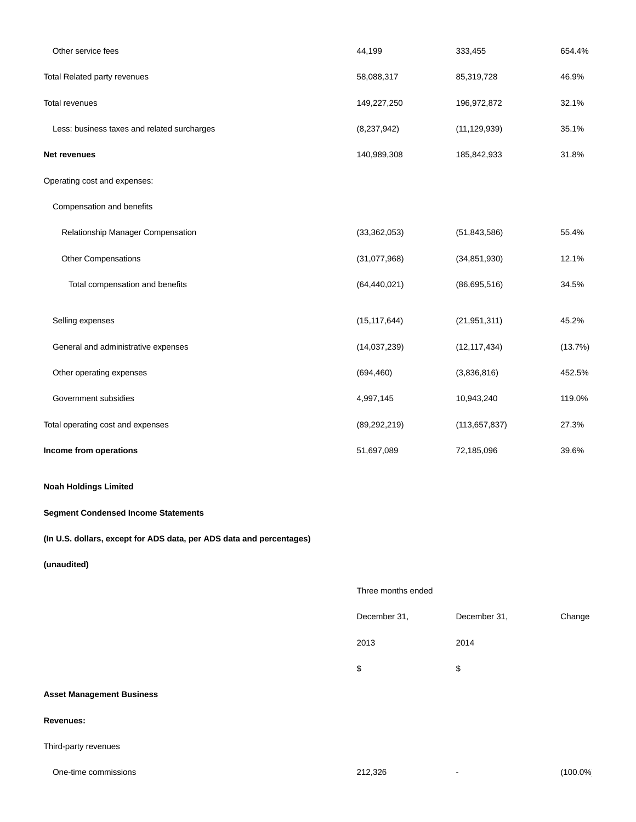| Other service fees                                                   | 44,199             | 333,455         | 654.4%  |
|----------------------------------------------------------------------|--------------------|-----------------|---------|
| Total Related party revenues                                         | 58,088,317         | 85,319,728      | 46.9%   |
| Total revenues                                                       | 149,227,250        | 196,972,872     | 32.1%   |
| Less: business taxes and related surcharges                          | (8, 237, 942)      | (11, 129, 939)  | 35.1%   |
| Net revenues                                                         | 140,989,308        | 185,842,933     | 31.8%   |
| Operating cost and expenses:                                         |                    |                 |         |
| Compensation and benefits                                            |                    |                 |         |
| Relationship Manager Compensation                                    | (33, 362, 053)     | (51, 843, 586)  | 55.4%   |
| Other Compensations                                                  | (31,077,968)       | (34, 851, 930)  | 12.1%   |
| Total compensation and benefits                                      | (64, 440, 021)     | (86,695,516)    | 34.5%   |
| Selling expenses                                                     | (15, 117, 644)     | (21, 951, 311)  | 45.2%   |
| General and administrative expenses                                  | (14,037,239)       | (12, 117, 434)  | (13.7%) |
| Other operating expenses                                             | (694, 460)         | (3,836,816)     | 452.5%  |
| Government subsidies                                                 | 4,997,145          | 10,943,240      | 119.0%  |
| Total operating cost and expenses                                    | (89, 292, 219)     | (113, 657, 837) | 27.3%   |
| Income from operations                                               | 51,697,089         | 72,185,096      | 39.6%   |
| <b>Noah Holdings Limited</b>                                         |                    |                 |         |
| <b>Segment Condensed Income Statements</b>                           |                    |                 |         |
| (In U.S. dollars, except for ADS data, per ADS data and percentages) |                    |                 |         |
| (unaudited)                                                          |                    |                 |         |
|                                                                      | Three months ended |                 |         |
|                                                                      | December 31,       | December 31,    | Change  |
|                                                                      | 2013               | 2014            |         |
|                                                                      | \$                 | \$              |         |
| <b>Asset Management Business</b>                                     |                    |                 |         |
| Revenues:                                                            |                    |                 |         |
| Third-party revenues                                                 |                    |                 |         |

One-time commissions (100.0%) 212,326 (100.0%)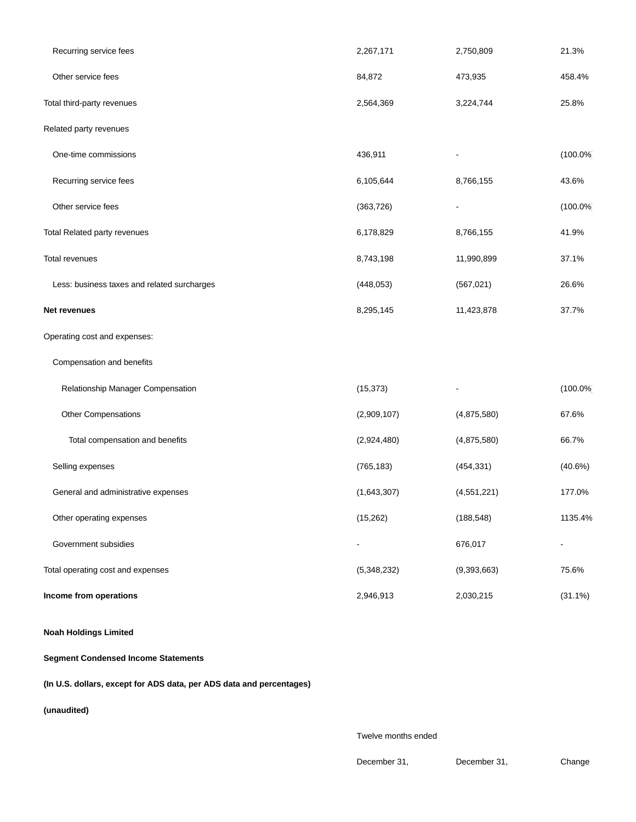| Recurring service fees                      | 2,267,171      | 2,750,809      | 21.3%      |
|---------------------------------------------|----------------|----------------|------------|
| Other service fees                          | 84,872         | 473,935        | 458.4%     |
| Total third-party revenues                  | 2,564,369      | 3,224,744      | 25.8%      |
| Related party revenues                      |                |                |            |
| One-time commissions                        | 436,911        |                | $(100.0\%$ |
| Recurring service fees                      | 6,105,644      | 8,766,155      | 43.6%      |
| Other service fees                          | (363, 726)     |                | $(100.0\%$ |
| Total Related party revenues                | 6,178,829      | 8,766,155      | 41.9%      |
| Total revenues                              | 8,743,198      | 11,990,899     | 37.1%      |
| Less: business taxes and related surcharges | (448, 053)     | (567, 021)     | 26.6%      |
| <b>Net revenues</b>                         | 8,295,145      | 11,423,878     | 37.7%      |
| Operating cost and expenses:                |                |                |            |
| Compensation and benefits                   |                |                |            |
| Relationship Manager Compensation           | (15, 373)      | $\blacksquare$ | $(100.0\%$ |
| Other Compensations                         | (2,909,107)    | (4,875,580)    | 67.6%      |
| Total compensation and benefits             | (2,924,480)    | (4,875,580)    | 66.7%      |
| Selling expenses                            | (765, 183)     | (454, 331)     | $(40.6\%)$ |
| General and administrative expenses         | (1,643,307)    | (4,551,221)    | 177.0%     |
| Other operating expenses                    | (15, 262)      | (188, 548)     | 1135.4%    |
| Government subsidies                        | $\blacksquare$ | 676,017        | ÷          |
| Total operating cost and expenses           | (5,348,232)    | (9,393,663)    | 75.6%      |
| Income from operations                      | 2,946,913      | 2,030,215      | $(31.1\%)$ |
|                                             |                |                |            |

# **Noah Holdings Limited**

**Segment Condensed Income Statements**

**(In U.S. dollars, except for ADS data, per ADS data and percentages)**

**(unaudited)**

Twelve months ended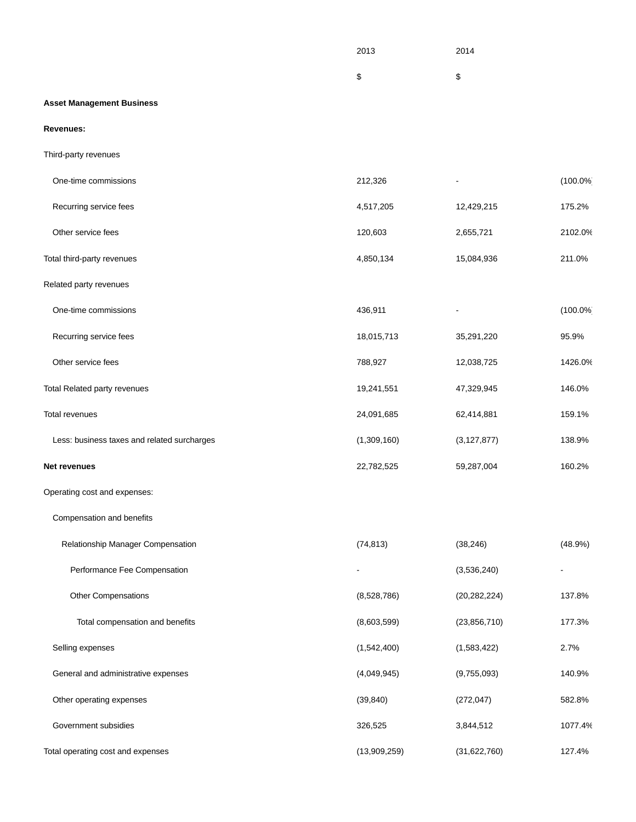|                                             | 2013                     | 2014           |            |
|---------------------------------------------|--------------------------|----------------|------------|
|                                             | \$                       | \$             |            |
| <b>Asset Management Business</b>            |                          |                |            |
| Revenues:                                   |                          |                |            |
| Third-party revenues                        |                          |                |            |
| One-time commissions                        | 212,326                  |                | $(100.0\%$ |
| Recurring service fees                      | 4,517,205                | 12,429,215     | 175.2%     |
| Other service fees                          | 120,603                  | 2,655,721      | 2102.0%    |
| Total third-party revenues                  | 4,850,134                | 15,084,936     | 211.0%     |
| Related party revenues                      |                          |                |            |
| One-time commissions                        | 436,911                  |                | $(100.0\%$ |
| Recurring service fees                      | 18,015,713               | 35,291,220     | 95.9%      |
| Other service fees                          | 788,927                  | 12,038,725     | 1426.0%    |
| Total Related party revenues                | 19,241,551               | 47,329,945     | 146.0%     |
| Total revenues                              | 24,091,685               | 62,414,881     | 159.1%     |
| Less: business taxes and related surcharges | (1,309,160)              | (3, 127, 877)  | 138.9%     |
| <b>Net revenues</b>                         | 22,782,525               | 59,287,004     | 160.2%     |
| Operating cost and expenses:                |                          |                |            |
| Compensation and benefits                   |                          |                |            |
| Relationship Manager Compensation           | (74, 813)                | (38, 246)      | (48.9%)    |
| Performance Fee Compensation                | $\overline{\phantom{a}}$ | (3,536,240)    |            |
| Other Compensations                         | (8,528,786)              | (20, 282, 224) | 137.8%     |
| Total compensation and benefits             | (8,603,599)              | (23, 856, 710) | 177.3%     |
| Selling expenses                            | (1,542,400)              | (1,583,422)    | 2.7%       |
| General and administrative expenses         | (4,049,945)              | (9,755,093)    | 140.9%     |
| Other operating expenses                    | (39, 840)                | (272, 047)     | 582.8%     |
| Government subsidies                        | 326,525                  | 3,844,512      | 1077.4%    |
| Total operating cost and expenses           | (13,909,259)             | (31,622,760)   | 127.4%     |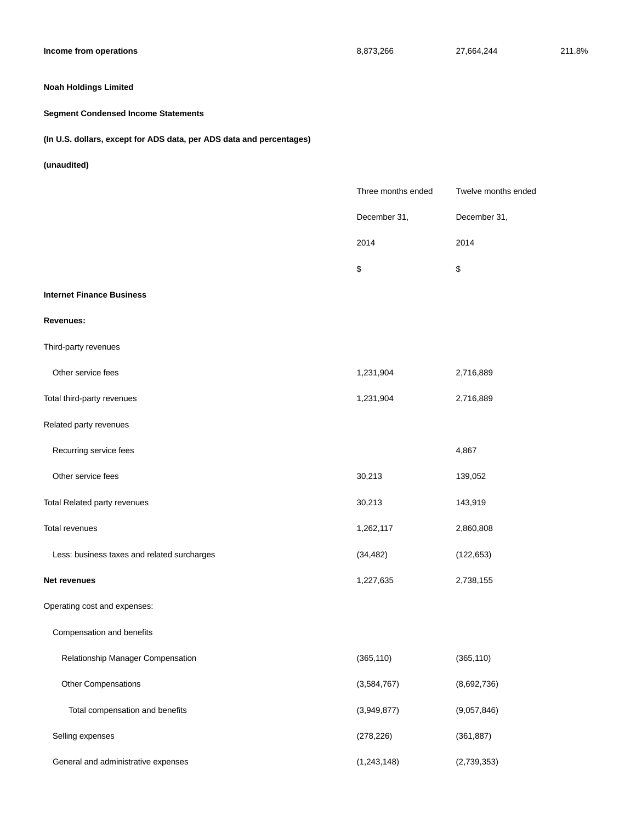# **Income from operations** 211.8%

# **Noah Holdings Limited**

# **Segment Condensed Income Statements**

# **(In U.S. dollars, except for ADS data, per ADS data and percentages)**

|                                             | Three months ended | Twelve months ended |
|---------------------------------------------|--------------------|---------------------|
|                                             | December 31,       | December 31,        |
|                                             | 2014               | 2014                |
|                                             | \$                 | \$                  |
| <b>Internet Finance Business</b>            |                    |                     |
| Revenues:                                   |                    |                     |
| Third-party revenues                        |                    |                     |
| Other service fees                          | 1,231,904          | 2,716,889           |
| Total third-party revenues                  | 1,231,904          | 2,716,889           |
| Related party revenues                      |                    |                     |
| Recurring service fees                      |                    | 4,867               |
| Other service fees                          | 30,213             | 139,052             |
| Total Related party revenues                | 30,213             | 143,919             |
| Total revenues                              | 1,262,117          | 2,860,808           |
| Less: business taxes and related surcharges | (34, 482)          | (122, 653)          |
| Net revenues                                | 1,227,635          | 2,738,155           |
| Operating cost and expenses:                |                    |                     |
| Compensation and benefits                   |                    |                     |
| Relationship Manager Compensation           | (365, 110)         | (365, 110)          |
| Other Compensations                         | (3,584,767)        | (8,692,736)         |
| Total compensation and benefits             | (3,949,877)        | (9,057,846)         |
| Selling expenses                            | (278, 226)         | (361, 887)          |
| General and administrative expenses         | (1,243,148)        | (2,739,353)         |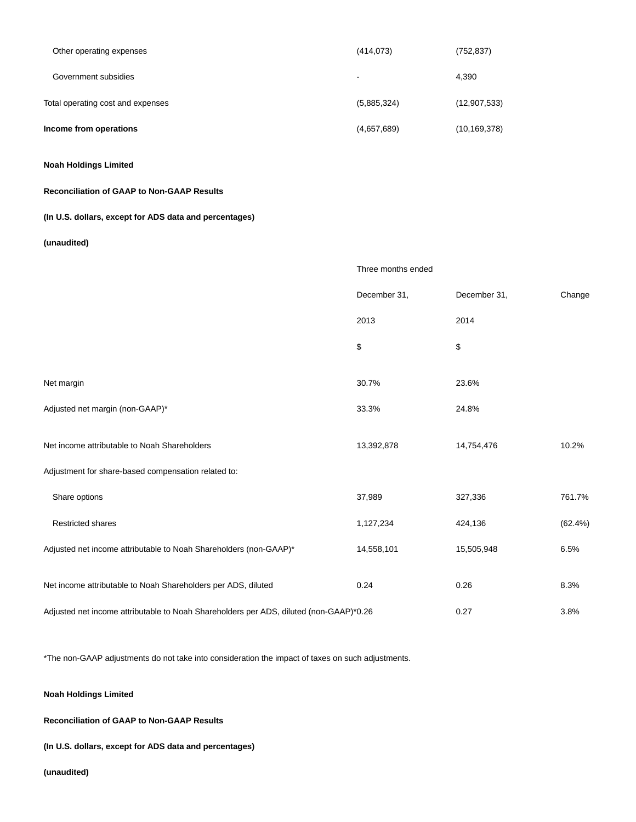| Other operating expenses          | (414, 073)     | (752, 837)     |
|-----------------------------------|----------------|----------------|
| Government subsidies              | $\blacksquare$ | 4,390          |
| Total operating cost and expenses | (5,885,324)    | (12, 907, 533) |
| Income from operations            | (4,657,689)    | (10, 169, 378) |

# **Noah Holdings Limited**

### **Reconciliation of GAAP to Non-GAAP Results**

# **(In U.S. dollars, except for ADS data and percentages)**

# **(unaudited)**

|                                                                                        | Three months ended |              |         |
|----------------------------------------------------------------------------------------|--------------------|--------------|---------|
|                                                                                        | December 31,       | December 31, | Change  |
|                                                                                        | 2013               | 2014         |         |
|                                                                                        | \$                 | \$           |         |
| Net margin                                                                             | 30.7%              | 23.6%        |         |
| Adjusted net margin (non-GAAP)*                                                        | 33.3%              | 24.8%        |         |
| Net income attributable to Noah Shareholders                                           | 13,392,878         | 14,754,476   | 10.2%   |
| Adjustment for share-based compensation related to:                                    |                    |              |         |
| Share options                                                                          | 37,989             | 327,336      | 761.7%  |
| <b>Restricted shares</b>                                                               | 1,127,234          | 424,136      | (62.4%) |
| Adjusted net income attributable to Noah Shareholders (non-GAAP)*                      | 14,558,101         | 15,505,948   | 6.5%    |
| Net income attributable to Noah Shareholders per ADS, diluted                          | 0.24               | 0.26         | 8.3%    |
| Adjusted net income attributable to Noah Shareholders per ADS, diluted (non-GAAP)*0.26 |                    | 0.27         | 3.8%    |

\*The non-GAAP adjustments do not take into consideration the impact of taxes on such adjustments.

# **Noah Holdings Limited**

**Reconciliation of GAAP to Non-GAAP Results**

**(In U.S. dollars, except for ADS data and percentages)**